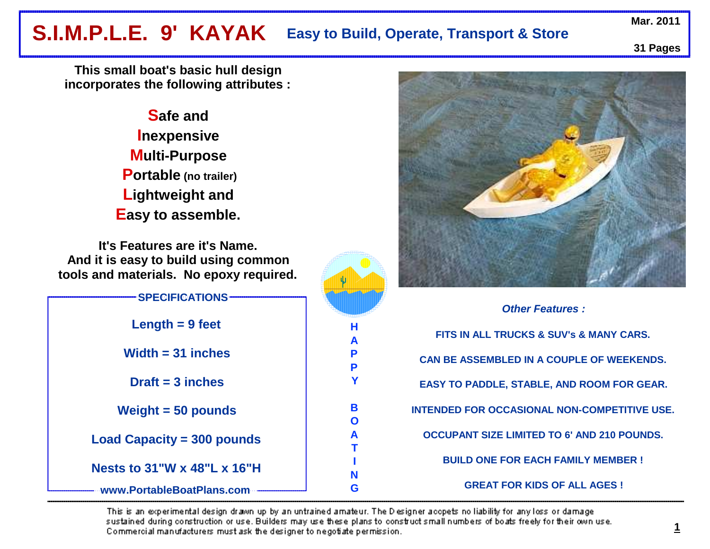# Mar. 2011<br>**S.I.M.P.L.E. 9' KAYAK Easy to Build, Operate, Transport & Store** Mar. 2011 **Easy to Build, Operate, Transport & Store**

**31 Pages**

**This small boat's basic hull design incorporates the following attributes :**

> **Safe and Inexpensive Multi-Purpose Portable (no trailer)Lightweight and Easy to assemble.**

**It's Features are it's Name. And it is easy to build using common tools and materials. No epoxy required.**

| <b>SPECIFICATIONS</b>             |  |
|-----------------------------------|--|
| Length $= 9$ feet                 |  |
| Width $=$ 31 inches               |  |
| $Draff = 3$ inches                |  |
| Weight $=$ 50 pounds              |  |
| <b>Load Capacity = 300 pounds</b> |  |
| Nests to 31"W x 48"L x 16"H       |  |
| www.PortableBoatPlans.com         |  |



**Other Features :FITS IN ALL TRUCKS & SUV's & MANY CARS.CAN BE ASSEMBLED IN A COUPLE OF WEEKENDS.EASY TO PADDLE, STABLE, AND ROOM FOR GEAR.INTENDED FOR OCCASIONAL NON-COMPETITIVE USE.OCCUPANT SIZE LIMITED TO 6' AND 210 POUNDS.BUILD ONE FOR EACH FAMILY MEMBER !GREAT FOR KIDS OF ALL AGES !** 

This is an experimental design drawn up by an untrained amateur. The Designer accpets no liability for any loss or damage sustained during construction or use. Builders may use these plans to construct small numbers of boats freely for their own use. Commercial manufacturers must ask the designer to negotiate permission.

**H A P PY**

**B O A TING**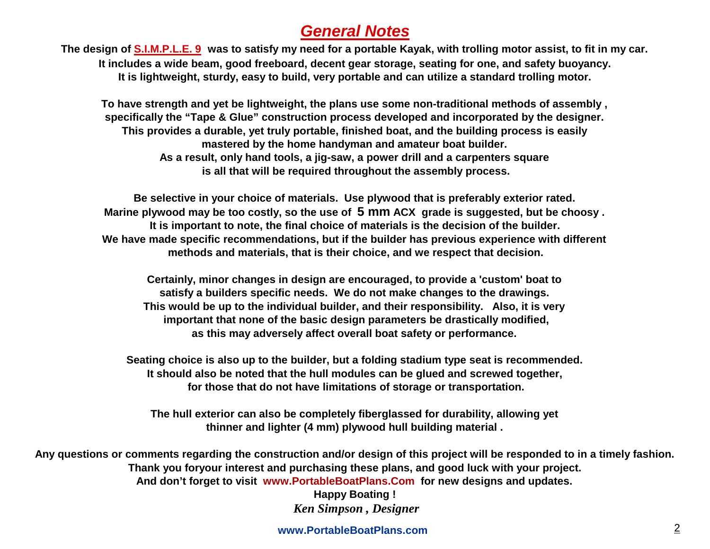## **General Notes**

 **The design of S.I.M.P.L.E. 9 was to satisfy my need for a portable Kayak, with trolling motor assist, to fit in my car.It includes a wide beam, good freeboard, decent gear storage, seating for one, and safety buoyancy.It is lightweight, sturdy, easy to build, very portable and can utilize a standard trolling motor.**

**To have strength and yet be lightweight, the plans use some non-traditional methods of assembly , specifically the "Tape & Glue" construction process developed and incorporated by the designer. This provides a durable, yet truly portable, finished boat, and the building process is easily mastered by the home handyman and amateur boat builder. As a result, only hand tools, a jig-saw, a power drill and a carpenters square is all that will be required throughout the assembly process.**

**Be selective in your choice of materials. Use plywood that is preferably exterior rated. Marine plywood may be too costly, so the use of 5 mm ACX grade is suggested, but be choosy . It is important to note, the final choice of materials is the decision of the builder.We have made specific recommendations, but if the builder has previous experience with different methods and materials, that is their choice, and we respect that decision.**

**Certainly, minor changes in design are encouraged, to provide a 'custom' boat to satisfy a builders specific needs. We do not make changes to the drawings. This would be up to the individual builder, and their responsibility. Also, it is very important that none of the basic design parameters be drastically modified, as this may adversely affect overall boat safety or performance.**

**Seating choice is also up to the builder, but a folding stadium type seat is recommended. It should also be noted that the hull modules can be glued and screwed together, for those that do not have limitations of storage or transportation.** 

**The hull exterior can also be completely fiberglassed for durability, allowing yet thinner and lighter (4 mm) plywood hull building material .**

**Any questions or comments regarding the construction and/or design of this project will be responded to in a timely fashion. Thank you foryour interest and purchasing these plans, and good luck with your project. And don't forget to visit www.PortableBoatPlans.Com for new designs and updates.**

**Happy Boating !**  *Ken Simpson , Designer*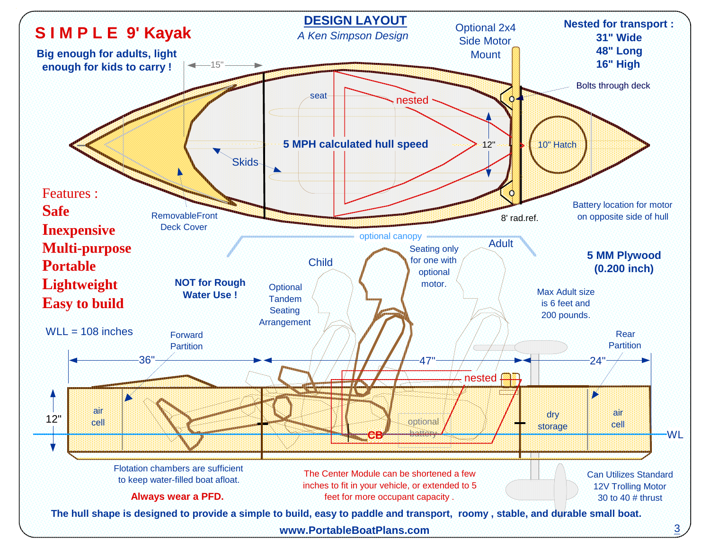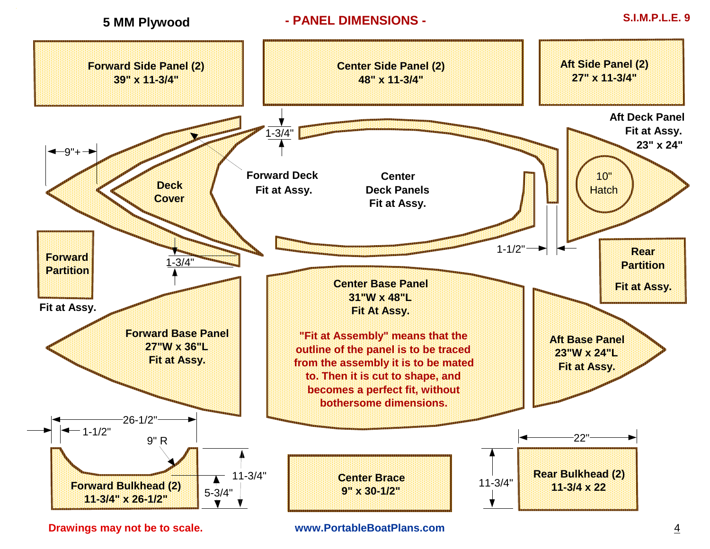

**Drawings may not be to scale.**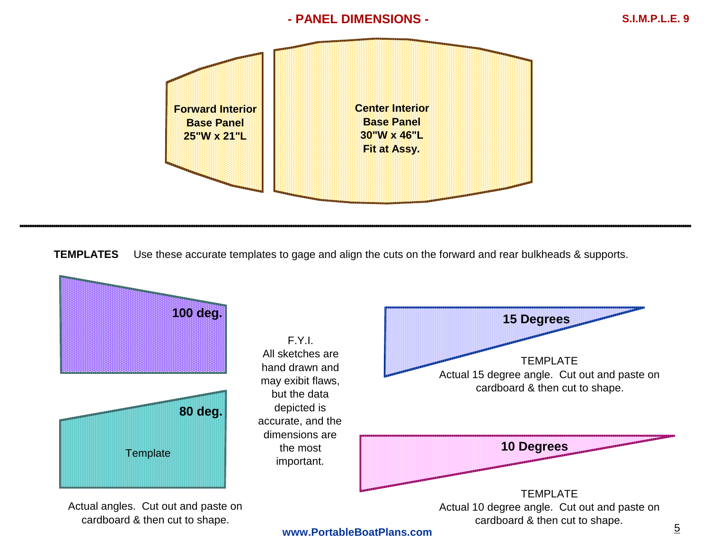## **- PANEL DIMENSIONS -**



**TEMPLATES**Use these accurate templates to gage and align the cuts on the forward and rear bulkheads & supports.

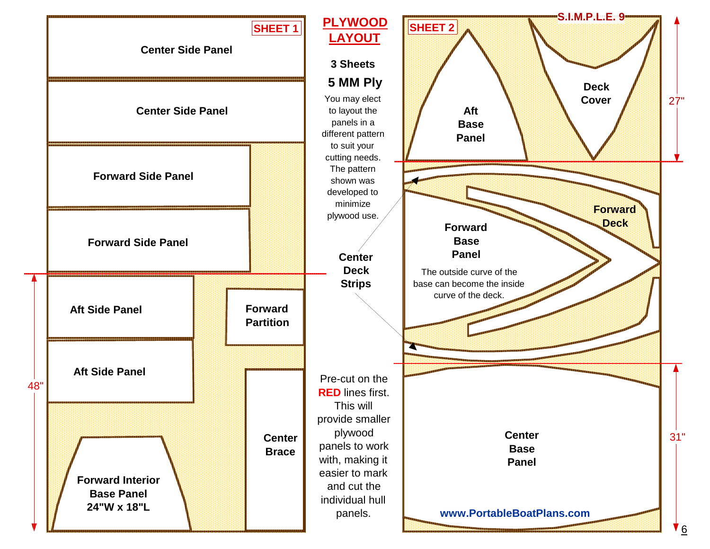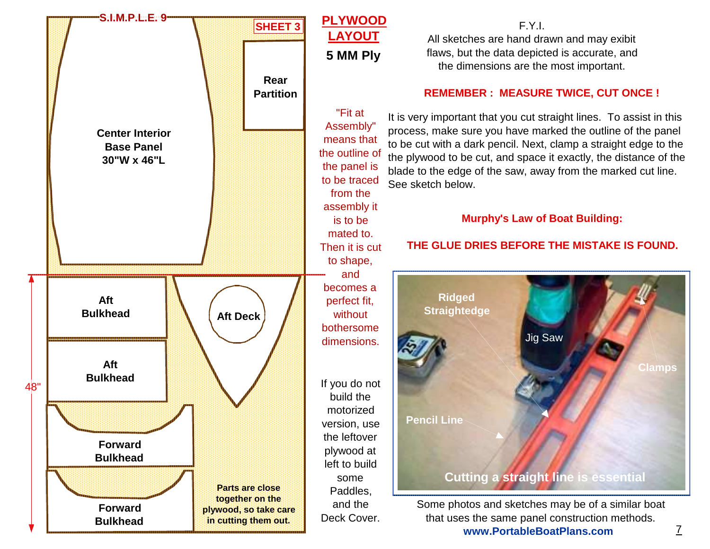

F.Y.I. All sketches are hand drawn and may exibit flaws, but the data depicted is accurate, and the dimensions are the most important.

## **REMEMBER : MEASURE TWICE, CUT ONCE !**

It is very important that you cut straight lines. To assist in this process, make sure you have marked the outline of the panel to be cut with a dark pencil. Next, clamp a straight edge to the the plywood to be cut, and space it exactly, the distance of the blade to the edge of the saw, away from the marked cut line.See sketch below.

## **Murphy's Law of Boat Building:**

## **THE GLUE DRIES BEFORE THE MISTAKE IS FOUND.**



Some photos and sketches may be of a similar boat that uses the same panel construction methods.**www.PortableBoatPlans.com**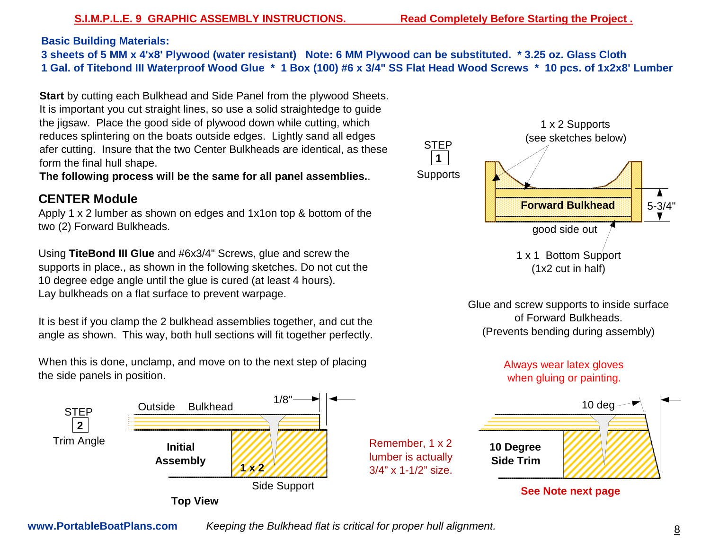**Basic Building Materials:** 

**3 sheets of 5 MM x 4'x8' Plywood (water resistant) Note: 6 MM Plywood can be substituted. \* 3.25 oz. Glass Cloth1 Gal. of Titebond III Waterproof Wood Glue \* 1 Box (100) #6 x 3/4" SS Flat Head Wood Screws \* 10 pcs. of 1x2x8' Lumber** 

**Start** by cutting each Bulkhead and Side Panel from the plywood Sheets. It is important you cut straight lines, so use a solid straightedge to guide the jigsaw. Place the good side of plywood down while cutting, which reduces splintering on the boats outside edges. Lightly sand all edges afer cutting. Insure that the two Center Bulkheads are identical, as these form the final hull shape.

**The following process will be the same for all panel assemblies.**.

## **CENTER Module**

 Apply 1 x 2 lumber as shown on edges and 1x1on top & bottom of the two (2) Forward Bulkheads.

Using **TiteBond III Glue** and #6x3/4" Screws, glue and screw the supports in place., as shown in the following sketches. Do not cut the 10 degree edge angle until the glue is cured (at least 4 hours). Lay bulkheads on a flat surface to prevent warpage.

It is best if you clamp the 2 bulkhead assemblies together, and cut the angle as shown. This way, both hull sections will fit together perfectly.

When this is done, unclamp, and move on to the next step of placing the side panels in position.





Glue and screw supports to inside surface of Forward Bulkheads.(Prevents bending during assembly)

## Always wear latex gloves when gluing or painting.



**See Note next page**

**www.PortableBoatPlans.com**

Keeping the Bulkhead flat is critical for proper hull alignment.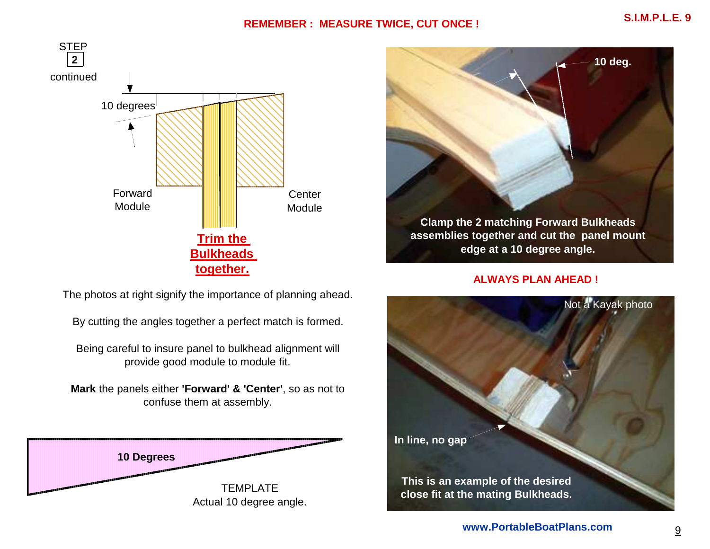## **REMEMBER : MEASURE TWICE, CUT ONCE !**



**Clamp the 2 matching Forward Bulkheads assemblies together and cut the panel mount edge at a 10 degree angle.10 deg.**

**ALWAYS PLAN AHEAD !**

The photos at right signify the importance of planning ahead.

By cutting the angles together a perfect match is formed.

Being careful to insure panel to bulkhead alignment will provide good module to module fit.

**Mark** the panels either **'Forward' & 'Center'**, so as not to confuse them at assembly.



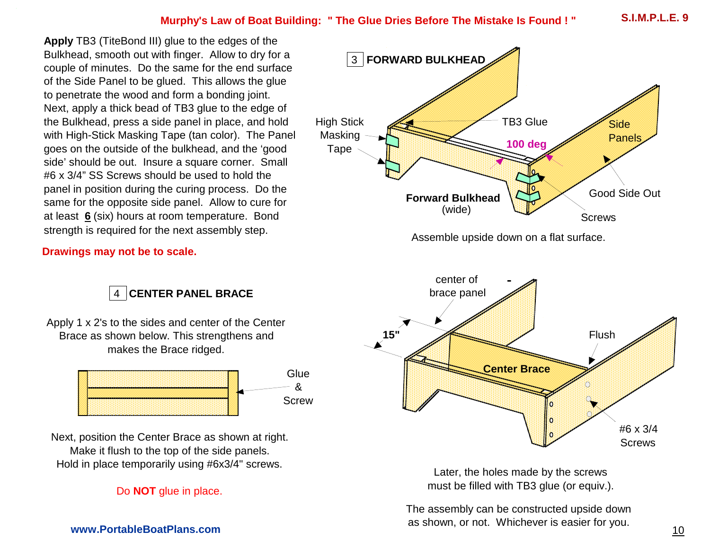## **Murphy's Law of Boat Building: " The Glue Dries Before The Mistake Is Found ! "**

**Apply** TB3 (TiteBond III) glue to the edges of the Bulkhead, smooth out with finger. Allow to dry for a couple of minutes. Do the same for the end surface of the Side Panel to be glued. This allows the glue to penetrate the wood and form a bonding joint. Next, apply a thick bead of TB3 glue to the edge of the Bulkhead, press a side panel in place, and hold with High-Stick Masking Tape (tan color). The Panel goes on the outside of the bulkhead, and the 'good side' should be out. Insure a square corner. Small #6 x 3/4" SS Screws should be used to hold the panel in position during the curing process. Do the same for the opposite side panel. Allow to cure for at least **6** (six) hours at room temperature. Bond strength is required for the next assembly step.



Assemble upside down on a flat surface.



Later, the holes made by the screws must be filled with TB3 glue (or equiv.).

The assembly can be constructed upside down as shown, or not. Whichever is easier for you.

## **Drawings may not be to scale.**

4**CENTER PANEL BRACE**

Apply 1 x 2's to the sides and center of the Center Brace as shown below. This strengthens and makes the Brace ridged.



Next, position the Center Brace as shown at right. Make it flush to the top of the side panels. Hold in place temporarily using #6x3/4" screws.

## Do **NOT** glue in place.

## **www.PortableBoatPlans.com**

**S.I.M.P.L.E. 9**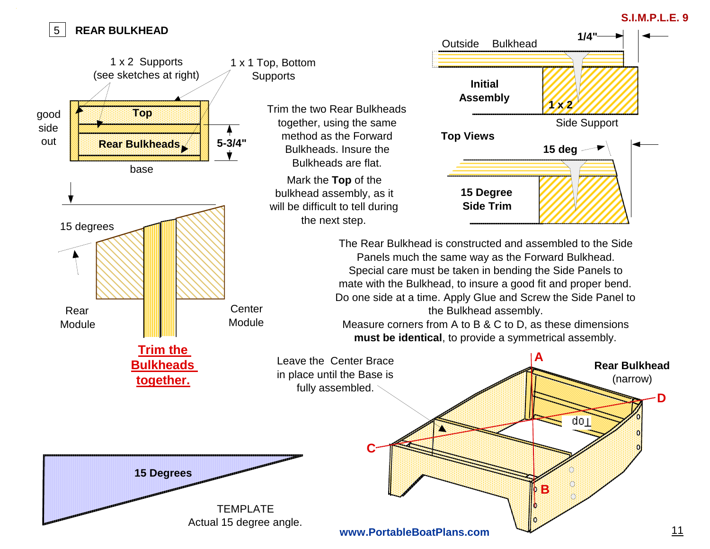#### 5**REAR BULKHEAD**

## **S.I.M.P.L.E. 9**

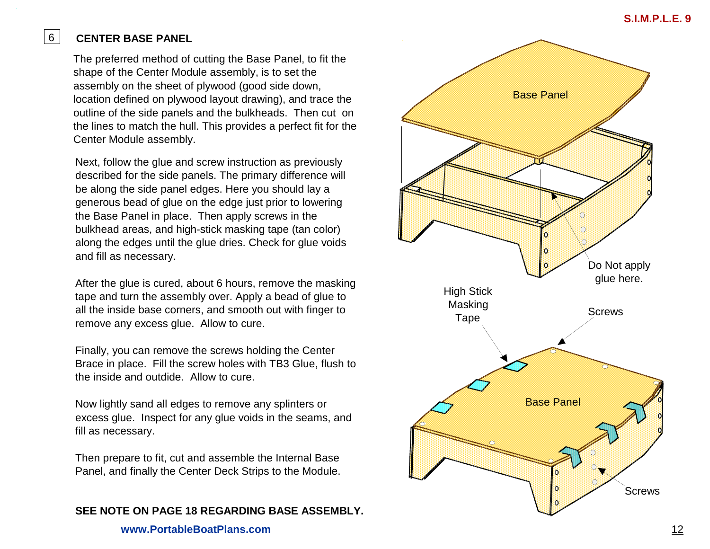## **CENTER BASE PANEL**

6

The preferred method of cutting the Base Panel, to fit the shape of the Center Module assembly, is to set the assembly on the sheet of plywood (good side down, location defined on plywood layout drawing), and trace the outline of the side panels and the bulkheads. Then cut on the lines to match the hull. This provides a perfect fit for the Center Module assembly.

Next, follow the glue and screw instruction as previously described for the side panels. The primary difference will be along the side panel edges. Here you should lay a generous bead of glue on the edge just prior to lowering the Base Panel in place. Then apply screws in the bulkhead areas, and high-stick masking tape (tan color) along the edges until the glue dries. Check for glue voids and fill as necessary.

After the glue is cured, about 6 hours, remove the masking tape and turn the assembly over. Apply a bead of glue to all the inside base corners, and smooth out with finger to remove any excess glue. Allow to cure.

Finally, you can remove the screws holding the Center Brace in place. Fill the screw holes with TB3 Glue, flush to the inside and outdide. Allow to cure.

Now lightly sand all edges to remove any splinters or excess glue. Inspect for any glue voids in the seams, and fill as necessary.

Then prepare to fit, cut and assemble the Internal BasePanel, and finally the Center Deck Strips to the Module.

**SEE NOTE ON PAGE 18 REGARDING BASE ASSEMBLY.**

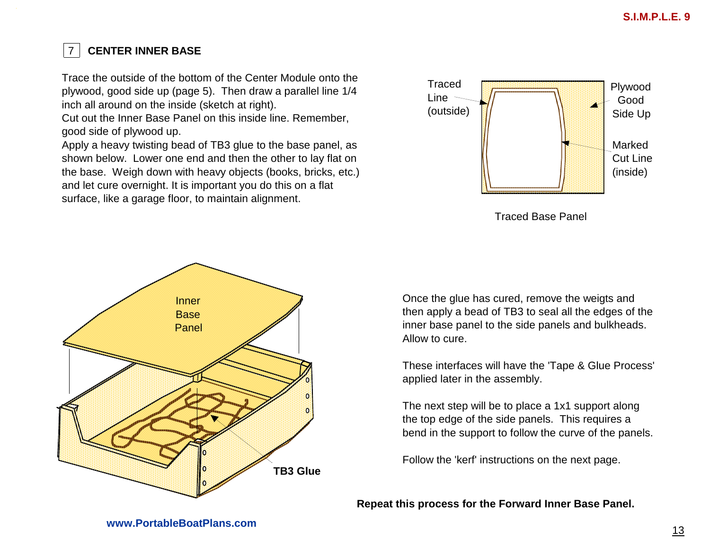#### **CENTER INNER BASE** 7

Trace the outside of the bottom of the Center Module onto the plywood, good side up (page 5). Then draw a parallel line 1/4 inch all around on the inside (sketch at right).

 Cut out the Inner Base Panel on this inside line. Remember, good side of plywood up.

Apply a heavy twisting bead of TB3 glue to the base panel, as shown below. Lower one end and then the other to lay flat on the base. Weigh down with heavy objects (books, bricks, etc.) and let cure overnight. It is important you do this on a flat surface, like a garage floor, to maintain alignment.





Traced Base Panel

Once the glue has cured, remove the weigts and then apply a bead of TB3 to seal all the edges of the inner base panel to the side panels and bulkheads. Allow to cure.

These interfaces will have the 'Tape & Glue Process' applied later in the assembly.

The next step will be to place a 1x1 support along the top edge of the side panels. This requires a bend in the support to follow the curve of the panels.

Follow the 'kerf' instructions on the next page.

**Repeat this process for the Forward Inner Base Panel.**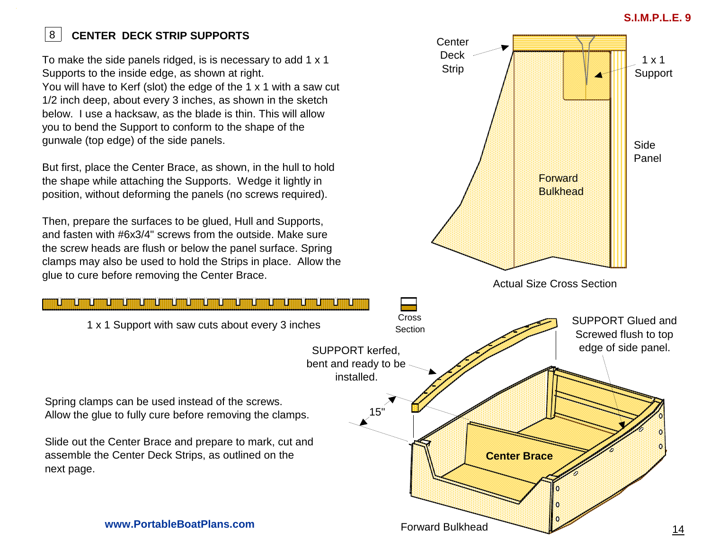## **S.I.M.P.L.E. 9**

### 8**CENTER DECK STRIP SUPPORTS**

To make the side panels ridged, is is necessary to add 1 x 1 Supports to the inside edge, as shown at right.You will have to Kerf (slot) the edge of the 1 x 1 with a saw cut 1/2 inch deep, about every 3 inches, as shown in the sketch below. I use a hacksaw, as the blade is thin. This will allow you to bend the Support to conform to the shape of the gunwale (top edge) of the side panels.

But first, place the Center Brace, as shown, in the hull to hold the shape while attaching the Supports. Wedge it lightly in position, without deforming the panels (no screws required).

Then, prepare the surfaces to be glued, Hull and Supports, and fasten with #6x3/4" screws from the outside. Make sure the screw heads are flush or below the panel surface. Spring clamps may also be used to hold the Strips in place. Allow the glue to cure before removing the Center Brace.

1 x 1 Support with saw cuts about every 3 inches



Spring clamps can be used instead of the screws. Allow the glue to fully cure before removing the clamps.

Slide out the Center Brace and prepare to mark, cut and assemble the Center Deck Strips, as outlined on the next page.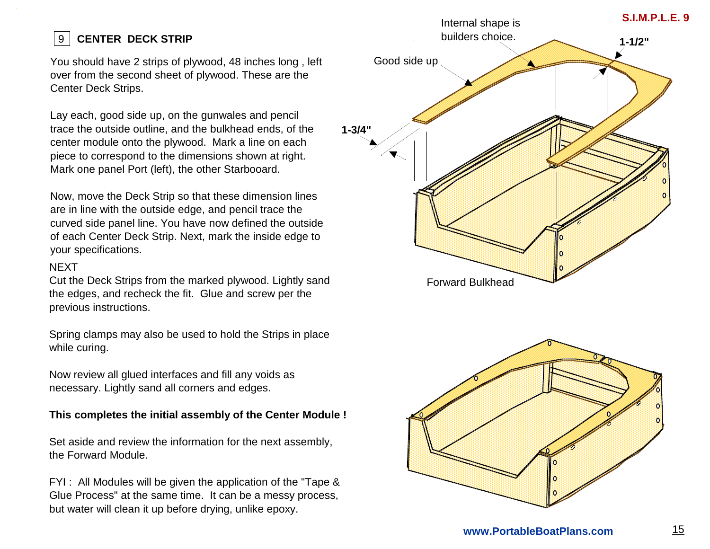#### 9**CENTER DECK STRIP**

You should have 2 strips of plywood, 48 inches long , left over from the second sheet of plywood. These are the Center Deck Strips.

Lay each, good side up, on the gunwales and pencil trace the outside outline, and the bulkhead ends, of the center module onto the plywood. Mark a line on each piece to correspond to the dimensions shown at right. Mark one panel Port (left), the other Starbooard.

Now, move the Deck Strip so that these dimension lines are in line with the outside edge, and pencil trace the curved side panel line. You have now defined the outside of each Center Deck Strip. Next, mark the inside edge toyour specifications.

## **NEXT**

 Cut the Deck Strips from the marked plywood. Lightly sand the edges, and recheck the fit. Glue and screw per the previous instructions.

Spring clamps may also be used to hold the Strips in place while curing.

Now review all glued interfaces and fill any voids as necessary. Lightly sand all corners and edges.

## **This completes the initial assembly of the Center Module !**

Set aside and review the information for the next assembly, the Forward Module.

FYI : All Modules will be given the application of the "Tape & Glue Process" at the same time. It can be a messy process, but water will clean it up before drying, unlike epoxy.

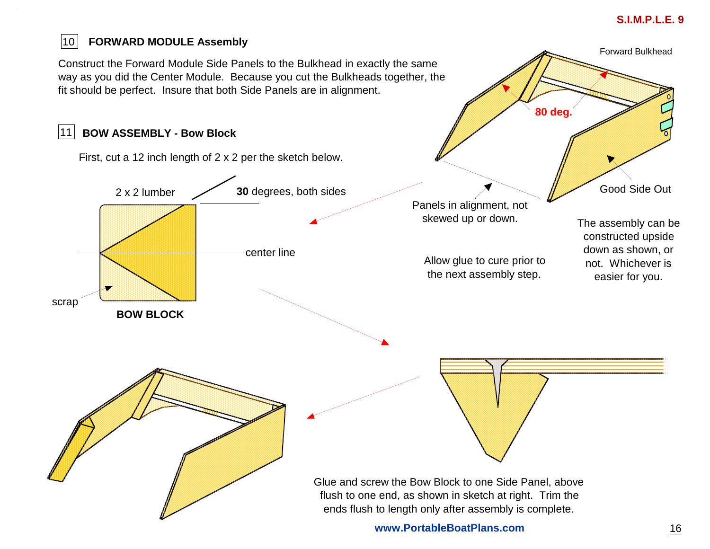## **S.I.M.P.L.E. 9**

#### $|10|$ **FORWARD MODULE Assembly**

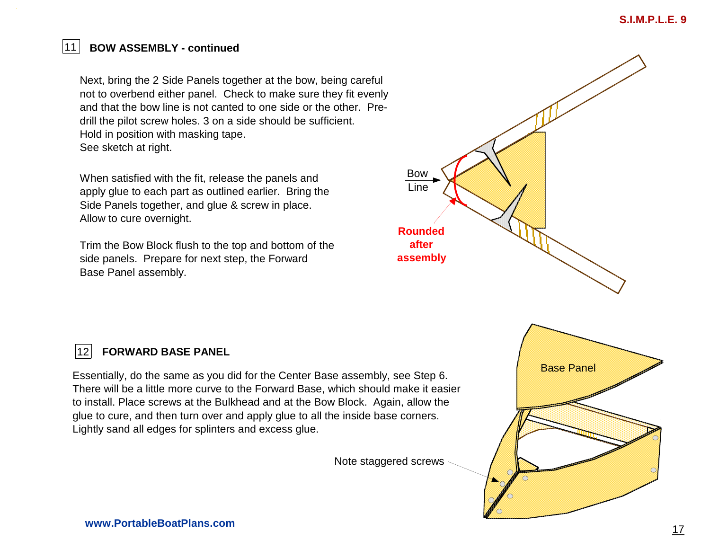#### 11**BOW ASSEMBLY - continued**

Next, bring the 2 Side Panels together at the bow, being careful not to overbend either panel. Check to make sure they fit evenly and that the bow line is not canted to one side or the other. Predrill the pilot screw holes. 3 on a side should be sufficient. Hold in position with masking tape.See sketch at right.

When satisfied with the fit, release the panels and apply glue to each part as outlined earlier. Bring the Side Panels together, and glue & screw in place. Allow to cure overnight.

Trim the Bow Block flush to the top and bottom of the side panels. Prepare for next step, the Forward Base Panel assembly.



#### $|12|$ **FORWARD BASE PANEL**

Essentially, do the same as you did for the Center Base assembly, see Step 6.There will be a little more curve to the Forward Base, which should make it easier to install. Place screws at the Bulkhead and at the Bow Block. Again, allow the glue to cure, and then turn over and apply glue to all the inside base corners.Lightly sand all edges for splinters and excess glue.

Note staggered screws

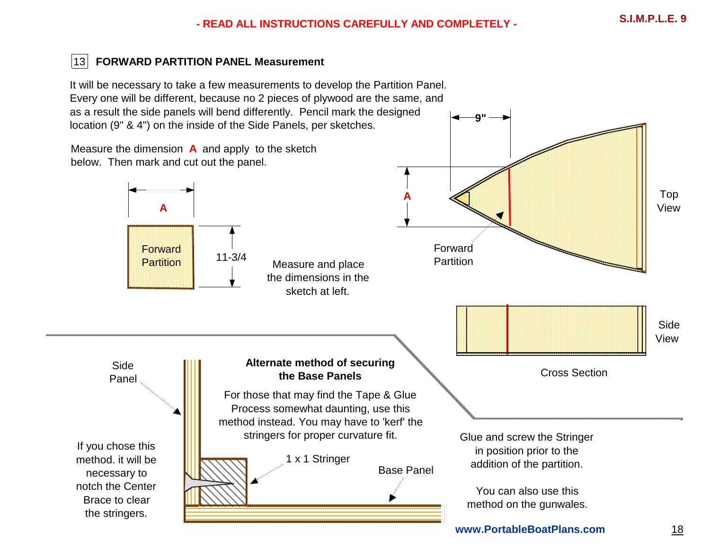**9"**

**www.PortableBoatPlans.com**

## 13 **FORWARD PARTITION PANEL Measurement**

It will be necessary to take a few measurements to develop the Partition Panel.Every one will be different, because no 2 pieces of plywood are the same, and as a result the side panels will bend differently. Pencil mark the designed location (9" & 4") on the inside of the Side Panels, per sketches.

Top View Side ViewCross Section **A**Forward PartitionMeasure the dimension **A** and apply to the sketch below. Then mark and cut out the panel. Measure and place the dimensions in the sketch at left.**A**Forward Partition**Alternate method of securing the Base Panels**Side PanelBase Panel1 x 1 StringerFor those that may find the Tape & Glue Process somewhat daunting, use this method instead. You may have to 'kerf' the stringers for proper curvature fit. Glue and screw the Stringer in position prior to the addition of the partition.You can also use this method on the gunwales.If you chose this method. it will be necessary to notch the Center Brace to clear the stringers.11-3/4

18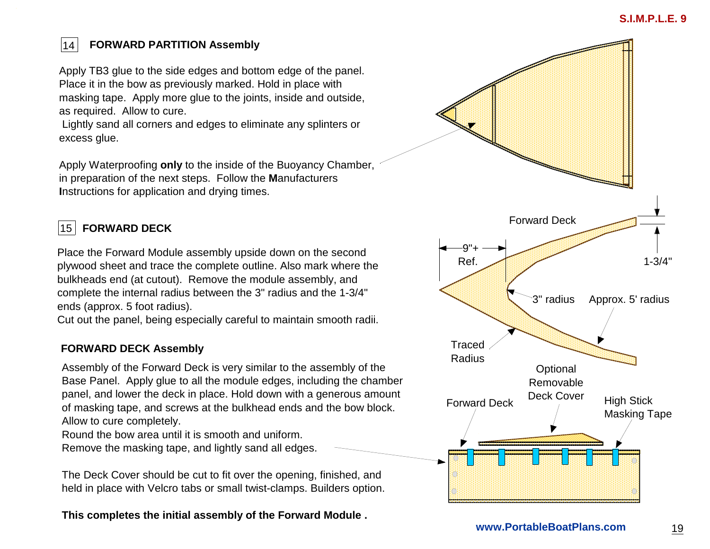## $|14|$

## **FORWARD PARTITION Assembly**

Apply TB3 glue to the side edges and bottom edge of the panel.Place it in the bow as previously marked. Hold in place with masking tape. Apply more glue to the joints, inside and outside, as required. Allow to cure.

 Lightly sand all corners and edges to eliminate any splinters or excess glue.

Apply Waterproofing **only** to the inside of the Buoyancy Chamber, in preparation of the next steps. Follow the **M**anufacturers **I**nstructions for application and drying times.

## 15 **FORWARD DECK**

Place the Forward Module assembly upside down on the second plywood sheet and trace the complete outline. Also mark where the bulkheads end (at cutout). Remove the module assembly, and complete the internal radius between the 3" radius and the 1-3/4" ends (approx. 5 foot radius).

Cut out the panel, being especially careful to maintain smooth radii.

## **FORWARD DECK Assembly**

Assembly of the Forward Deck is very similar to the assembly of the Base Panel. Apply glue to all the module edges, including the chamber panel, and lower the deck in place. Hold down with a generous amount of masking tape, and screws at the bulkhead ends and the bow block. Allow to cure completely.

Round the bow area until it is smooth and uniform.Remove the masking tape, and lightly sand all edges.

The Deck Cover should be cut to fit over the opening, finished, and held in place with Velcro tabs or small twist-clamps. Builders option.

**This completes the initial assembly of the Forward Module .**

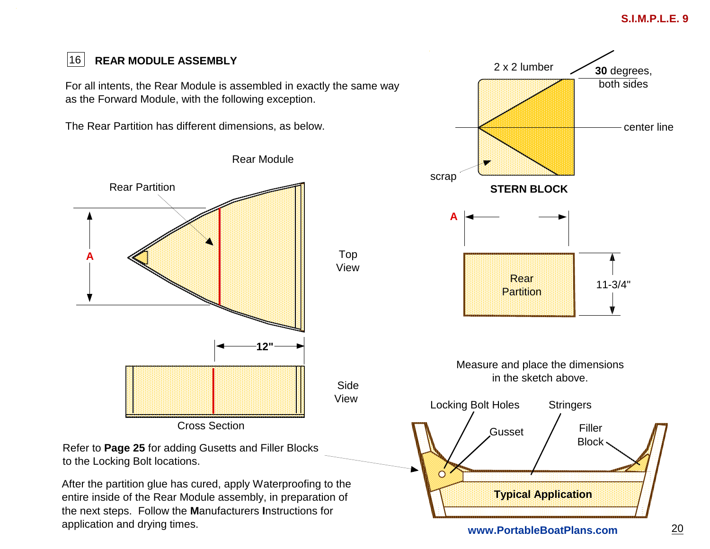## **S.I.M.P.L.E. 9**

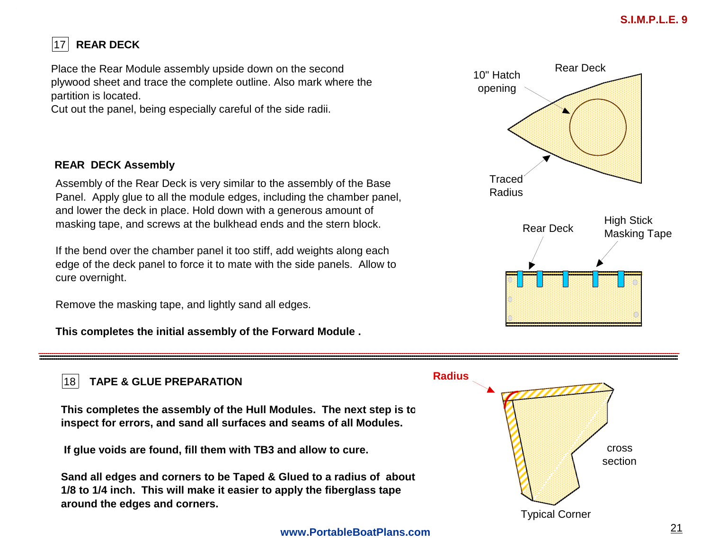### $|17$ **REAR DECK**

Place the Rear Module assembly upside down on the second plywood sheet and trace the complete outline. Also mark where the partition is located.

Cut out the panel, being especially careful of the side radii.

## **REAR DECK Assembly**

Assembly of the Rear Deck is very similar to the assembly of the Base Panel. Apply glue to all the module edges, including the chamber panel, and lower the deck in place. Hold down with a generous amount of masking tape, and screws at the bulkhead ends and the stern block.

If the bend over the chamber panel it too stiff, add weights along each edge of the deck panel to force it to mate with the side panels. Allow to cure overnight.

Remove the masking tape, and lightly sand all edges.

**This completes the initial assembly of the Forward Module .**



#### $|18|$ **TAPE & GLUE PREPARATION**

**This completes the assembly of the Hull Modules. The next step is to inspect for errors, and sand all surfaces and seams of all Modules.**

 **If glue voids are found, fill them with TB3 and allow to cure.** 

**Sand all edges and corners to be Taped & Glued to a radius of about 1/8 to 1/4 inch. This will make it easier to apply the fiberglass tape around the edges and corners.**

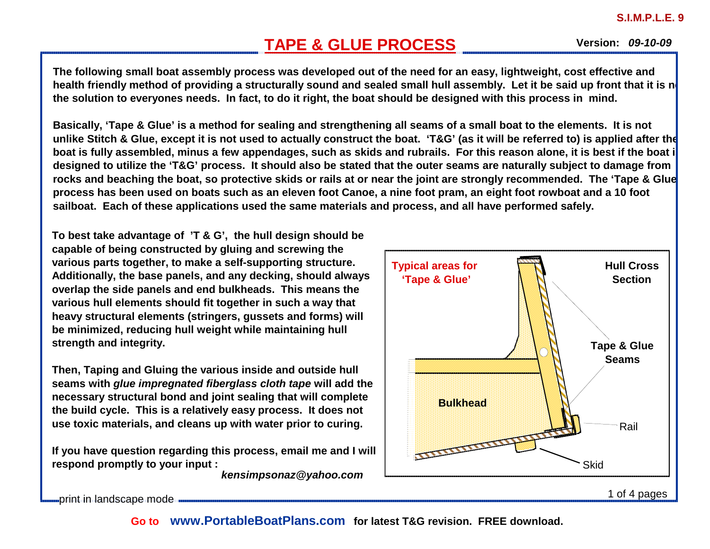# **TAPE & GLUE PROCESS**

**09-10-09 Version:**

**The following small boat assembly process was developed out of the need for an easy, lightweight, cost effective and** health friendly method of providing a structurally sound and sealed small hull assembly. Let it be said up front that it is not **the solution to everyones needs. In fact, to do it right, the boat should be designed with this process in mind.** 

**Basically, 'Tape & Glue' is a method for sealing and strengthening all seams of a small boat to the elements. It is not unlike Stitch & Glue, except it is not used to actually construct the boat. 'T&G' (as it will be referred to) is applied after the boat is fully assembled, minus a few appendages, such as skids and rubrails. For this reason alone, it is best if the boat is designed to utilize the 'T&G' process. It should also be stated that the outer seams are naturally subject to damage from rocks and beaching the boat, so protective skids or rails at or near the joint are strongly recommended. The 'Tape & Glue' process has been used on boats such as an eleven foot Canoe, a nine foot pram, an eight foot rowboat and a 10 foot sailboat. Each of these applications used the same materials and process, and all have performed safely.** 

**To best take advantage of 'T & G', the hull design should be capable of being constructed by gluing and screwing the various parts together, to make a self-supporting structure. Additionally, the base panels, and any decking, should always overlap the side panels and end bulkheads. This means the various hull elements should fit together in such a way that heavy structural elements (stringers, gussets and forms) will be minimized, reducing hull weight while maintaining hull strength and integrity.** 

**Then, Taping and Gluing the various inside and outside hull seams with glue impregnated fiberglass cloth tape will add the necessary structural bond and joint sealing that will complete the build cycle. This is a relatively easy process. It does not use toxic materials, and cleans up with water prior to curing.** 

**If you have question regarding this process, email me and I will respond promptly to your input :**

**kensimpsonaz@yahoo.com** 



print in landscape mode

**Go to www.PortableBoatPlans.com for latest T&G revision. FREE download.**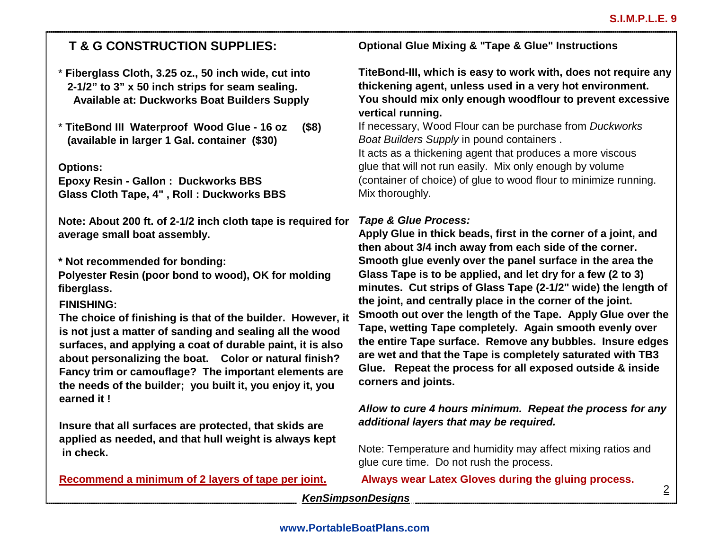## **T & G CONSTRUCTION SUPPLIES:**

- \* **Fiberglass Cloth, 3.25 oz., 50 inch wide, cut into 2-1/2" to 3" x 50 inch strips for seam sealing. Available at: Duckworks Boat Builders Supply**
- \* **TiteBond III Waterproof Wood Glue 16 oz (\$8) (available in larger 1 Gal. container (\$30)**

**Options:**

 **Epoxy Resin - Gallon : Duckworks BBSGlass Cloth Tape, 4" , Roll : Duckworks BBS** 

**Note: About 200 ft. of 2-1/2 inch cloth tape is required for average small boat assembly.**

**\* Not recommended for bonding:** 

 **Polyester Resin (poor bond to wood), OK for moldingfiberglass.**

## **FINISHING:**

**The choice of finishing is that of the builder. However, it is not just a matter of sanding and sealing all the wood surfaces, and applying a coat of durable paint, it is also about personalizing the boat. Color or natural finish? Fancy trim or camouflage? The important elements are the needs of the builder; you built it, you enjoy it, you earned it !**

**Insure that all surfaces are protected, that skids are applied as needed, and that hull weight is always kept in check.**

**Recommend a minimum of 2 layers of tape per joint.**

**Optional Glue Mixing & "Tape & Glue" Instructions**

**TiteBond-III, which is easy to work with, does not require any thickening agent, unless used in a very hot environment. You should mix only enough woodflour to prevent excessive vertical running.**

If necessary, Wood Flour can be purchase from Duckworks Boat Builders Supply in pound containers .

It acts as a thickening agent that produces a more viscous glue that will not run easily. Mix only enough by volume (container of choice) of glue to wood flour to minimize running. Mix thoroughly.

## **Tape & Glue Process:**

 **Apply Glue in thick beads, first in the corner of a joint, and then about 3/4 inch away from each side of the corner. Smooth glue evenly over the panel surface in the area the Glass Tape is to be applied, and let dry for a few (2 to 3) minutes. Cut strips of Glass Tape (2-1/2" wide) the length of the joint, and centrally place in the corner of the joint. Smooth out over the length of the Tape. Apply Glue over the Tape, wetting Tape completely. Again smooth evenly over the entire Tape surface. Remove any bubbles. Insure edges are wet and that the Tape is completely saturated with TB3 Glue. Repeat the process for all exposed outside & inside corners and joints.**

## **Allow to cure 4 hours minimum. Repeat the process for any additional layers that may be required.**

Note: Temperature and humidity may affect mixing ratios and glue cure time. Do not rush the process.

**Always wear Latex Gloves during the gluing process.** <sup>2</sup>

### **KenSimpsonDesigns**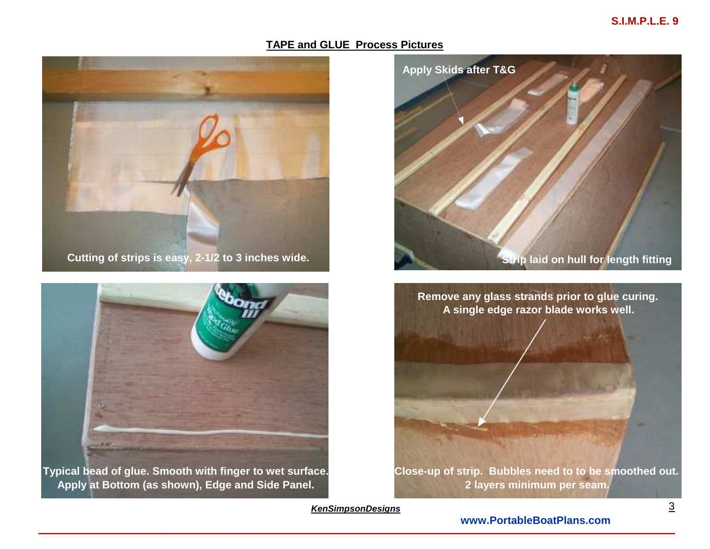## **S.I.M.P.L.E. 9**

### **TAPE and GLUE Process Pictures**





**Typical bead of glue. Smooth with finger to wet surface.Apply at Bottom (as shown), Edge and Side Panel.**



**Close-up of strip. Bubbles need to to be smoothed out.2 layers minimum per seam.**

**KenSimpsonDesigns**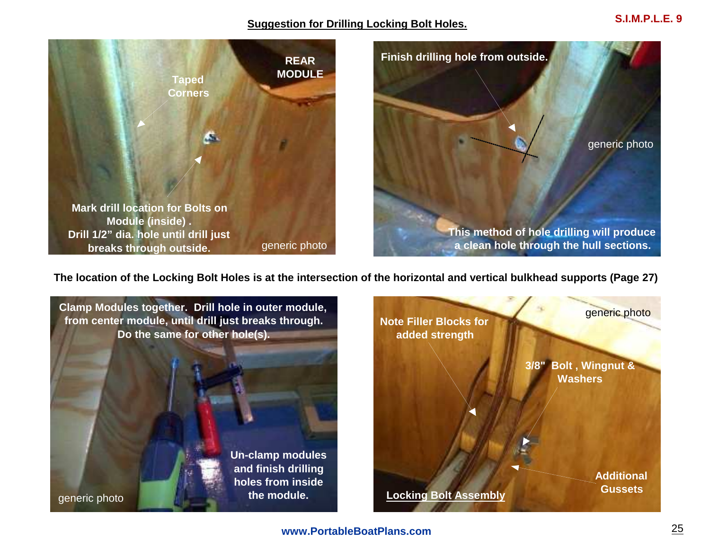### **Suggestion for Drilling Locking Bolt Holes.**



**The location of the Locking Bolt Holes is at the intersection of the horizontal and vertical bulkhead supports (Page 27)** 

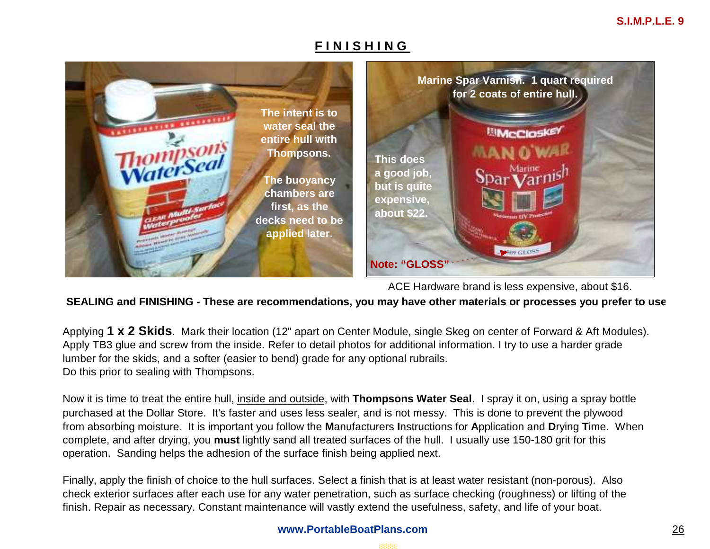## **F I N I S H I N G**



ACE Hardware brand is less expensive, about \$16.

## **SEALING and FINISHING - These are recommendations, you may have other materials or processes you prefer to use.**

Applying **1 x 2 Skids**. Mark their location (12" apart on Center Module, single Skeg on center of Forward & Aft Modules). Apply TB3 glue and screw from the inside. Refer to detail photos for additional information. I try to use a harder grade lumber for the skids, and a softer (easier to bend) grade for any optional rubrails. Do this prior to sealing with Thompsons.

Now it is time to treat the entire hull, inside and outside, with **Thompsons Water Seal**. I spray it on, using a spray bottle purchased at the Dollar Store. It's faster and uses less sealer, and is not messy. This is done to prevent the plywood from absorbing moisture. It is important you follow the **M**anufacturers **I**nstructions for **A**pplication and **D**rying **T**ime. When complete, and after drying, you **must** lightly sand all treated surfaces of the hull. I usually use 150-180 grit for this operation. Sanding helps the adhesion of the surface finish being applied next.

Finally, apply the finish of choice to the hull surfaces. Select a finish that is at least water resistant (non-porous). Also check exterior surfaces after each use for any water penetration, such as surface checking (roughness) or lifting of thefinish. Repair as necessary. Constant maintenance will vastly extend the usefulness, safety, and life of your boat.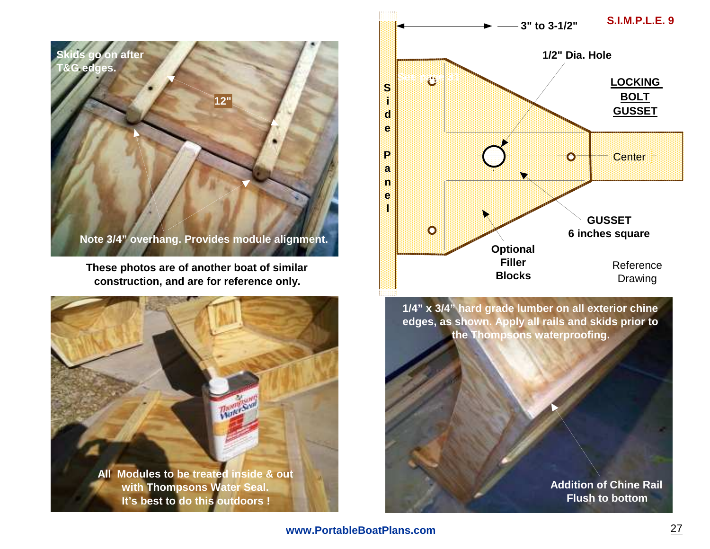

**These photos are of another boat of similar construction, and are for reference only.**





**www.PortableBoatPlans.com**

**Addition of Chine RailFlush to bottom**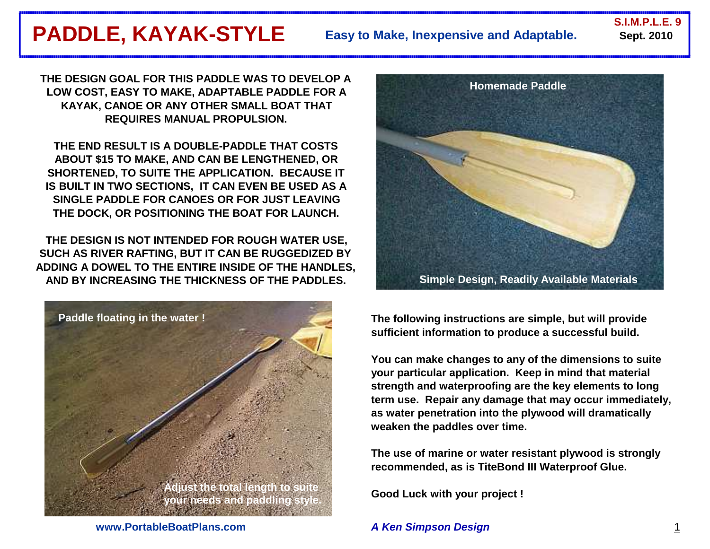## **PADDLE, KAYAK-STYLE** Easy to Make, Inexpensive and Adaptable. Sept. 2010 **Easy to Make, Inexpensive and Adaptable.**

**S.I.M.P.L.E. 9**

**THE DESIGN GOAL FOR THIS PADDLE WAS TO DEVELOP A LOW COST, EASY TO MAKE, ADAPTABLE PADDLE FOR AKAYAK, CANOE OR ANY OTHER SMALL BOAT THATREQUIRES MANUAL PROPULSION.** 

**THE END RESULT IS A DOUBLE-PADDLE THAT COSTS ABOUT \$15 TO MAKE, AND CAN BE LENGTHENED, OR SHORTENED, TO SUITE THE APPLICATION. BECAUSE IT IS BUILT IN TWO SECTIONS, IT CAN EVEN BE USED AS A SINGLE PADDLE FOR CANOES OR FOR JUST LEAVING THE DOCK, OR POSITIONING THE BOAT FOR LAUNCH.**

**THE DESIGN IS NOT INTENDED FOR ROUGH WATER USE, SUCH AS RIVER RAFTING, BUT IT CAN BE RUGGEDIZED BY ADDING A DOWEL TO THE ENTIRE INSIDE OF THE HANDLES,AND BY INCREASING THE THICKNESS OF THE PADDLES.**





**The following instructions are simple, but will provide sufficient information to produce a successful build.**

**You can make changes to any of the dimensions to suite your particular application. Keep in mind that material strength and waterproofing are the key elements to long term use. Repair any damage that may occur immediately, as water penetration into the plywood will dramatically weaken the paddles over time.**

**The use of marine or water resistant plywood is strongly recommended, as is TiteBond III Waterproof Glue.**

**Good Luck with your project !**

## **A Ken Simpson Design**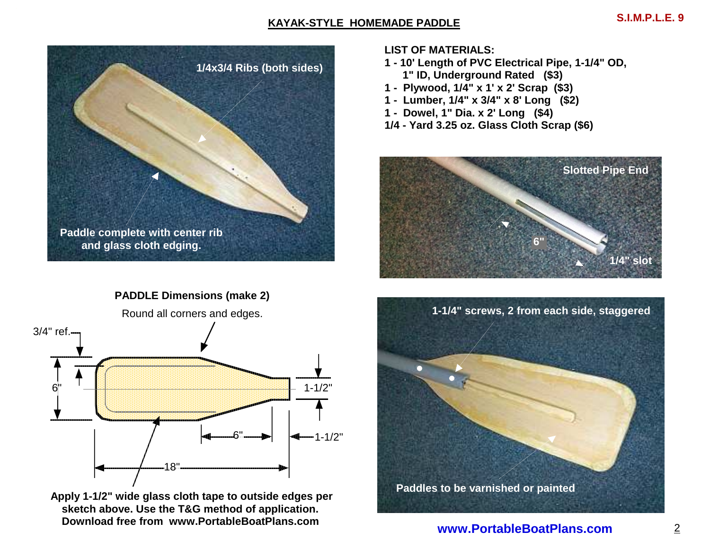## **KAYAK-STYLE HOMEMADE PADDLE**



**PADDLE Dimensions (make 2)**



 **Apply 1-1/2" wide glass cloth tape to outside edges per sketch above. Use the T&G method of application.Download free from www.PortableBoatPlans.com** 

**LIST OF MATERIALS:**

- **1 10' Length of PVC Electrical Pipe, 1-1/4" OD, 1" ID, Underground Rated (\$3)**
- **1 Plywood, 1/4" x 1' x 2' Scrap (\$3)**
- **1 Lumber, 1/4" x 3/4" x 8' Long (\$2)**
- **1 Dowel, 1" Dia. x 2' Long (\$4)**
- **1/4 Yard 3.25 oz. Glass Cloth Scrap (\$6)**



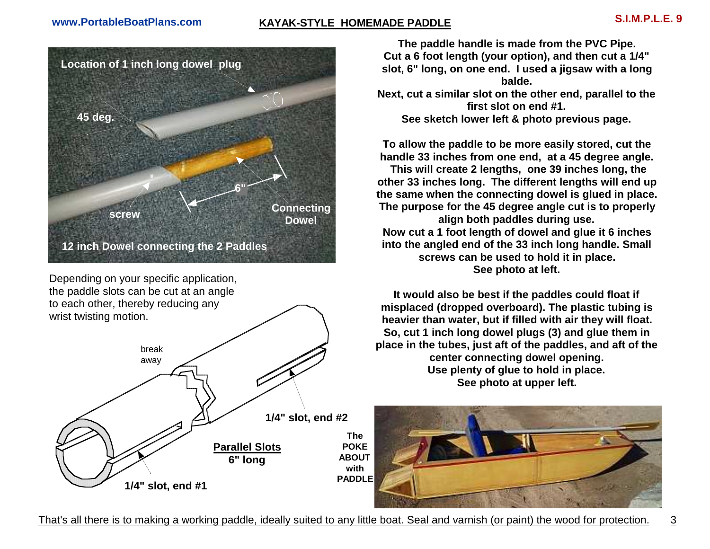# **KAYAK-STYLE HOMEMADE PADDLE S.I.M.P.L.E. 9**



Depending on your specific application, the paddle slots can be cut at an angle to each other, thereby reducing any wrist twisting motion.



**The paddle handle is made from the PVC Pipe. Cut a 6 foot length (your option), and then cut a 1/4" slot, 6" long, on one end. I used a jigsaw with a long balde.**

 **Next, cut a similar slot on the other end, parallel to the first slot on end #1. See sketch lower left & photo previous page.**

**To allow the paddle to be more easily stored, cut the handle 33 inches from one end, at a 45 degree angle.** 

 **This will create 2 lengths, one 39 inches long, the other 33 inches long. The different lengths will end up the same when the connecting dowel is glued in place. The purpose for the 45 degree angle cut is to properly align both paddles during use. Now cut a 1 foot length of dowel and glue it 6 inches into the angled end of the 33 inch long handle. Small screws can be used to hold it in place. See photo at left.**

**It would also be best if the paddles could float if misplaced (dropped overboard). The plastic tubing is heavier than water, but if filled with air they will float. So, cut 1 inch long dowel plugs (3) and glue them in place in the tubes, just aft of the paddles, and aft of the center connecting dowel opening. Use plenty of glue to hold in place. See photo at upper left.**